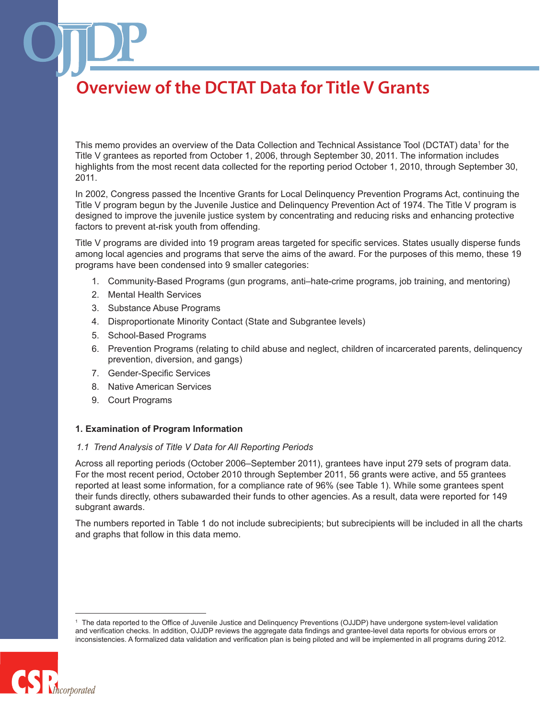This memo provides an overview of the Data Collection and Technical Assistance Tool (DCTAT) data<sup>1</sup> for the Title V grantees as reported from October 1, 2006, through September 30, 2011. The information includes highlights from the most recent data collected for the reporting period October 1, 2010, through September 30, 2011.

In 2002, Congress passed the Incentive Grants for Local Delinquency Prevention Programs Act, continuing the Title V program begun by the Juvenile Justice and Delinquency Prevention Act of 1974. The Title V program is designed to improve the juvenile justice system by concentrating and reducing risks and enhancing protective factors to prevent at-risk youth from offending.

Title V programs are divided into 19 program areas targeted for specific services. States usually disperse funds among local agencies and programs that serve the aims of the award. For the purposes of this memo, these 19 programs have been condensed into 9 smaller categories:

- 1. Community-Based Programs (gun programs, anti–hate-crime programs, job training, and mentoring)
- 2. Mental Health Services
- 3. Substance Abuse Programs
- 4. Disproportionate Minority Contact (State and Subgrantee levels)
- 5. School-Based Programs
- 6. Prevention Programs (relating to child abuse and neglect, children of incarcerated parents, delinquency prevention, diversion, and gangs)
- 7. Gender-Specific Services
- 8. Native American Services
- 9. Court Programs

#### **1. Examination of Program Information**

#### *1.1 Trend Analysis of Title V Data for All Reporting Periods*

Across all reporting periods (October 2006–September 2011), grantees have input 279 sets of program data. For the most recent period, October 2010 through September 2011, 56 grants were active, and 55 grantees reported at least some information, for a compliance rate of 96% (see Table 1). While some grantees spent their funds directly, others subawarded their funds to other agencies. As a result, data were reported for 149 subgrant awards.

The numbers reported in Table 1 do not include subrecipients; but subrecipients will be included in all the charts and graphs that follow in this data memo.

The data reported to the Office of Juvenile Justice and Delinquency Preventions (OJJDP) have undergone system-level validation and verification checks. In addition, OJJDP reviews the aggregate data findings and grantee-level data reports for obvious errors or inconsistencies. A formalized data validation and verification plan is being piloted and will be implemented in all programs during 2012.

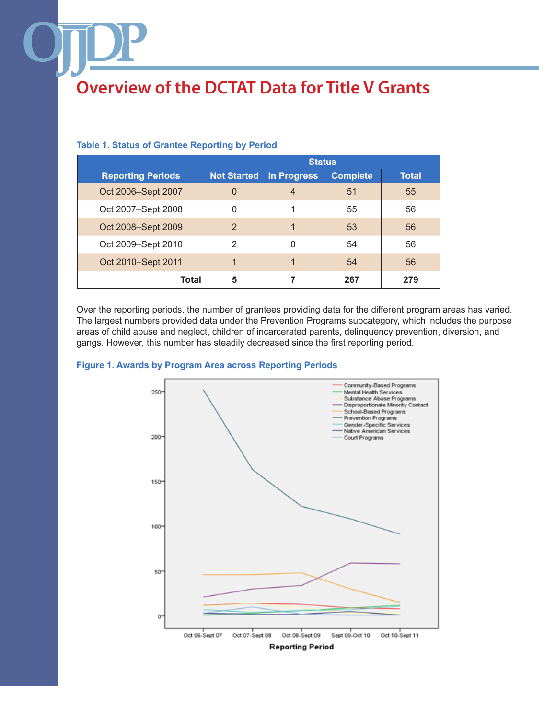|                          | <b>Status</b>      |             |                 |              |
|--------------------------|--------------------|-------------|-----------------|--------------|
| <b>Reporting Periods</b> | <b>Not Started</b> | In Progress | <b>Complete</b> | <b>Total</b> |
| Oct 2006-Sept 2007       | $\overline{0}$     | 4           | 51              | 55           |
| Oct 2007-Sept 2008       | 0                  | 1           | 55              | 56           |
| Oct 2008-Sept 2009       | $\overline{2}$     |             | 53              | 56           |
| Oct 2009-Sept 2010       | $\mathcal{P}$      | 0           | 54              | 56           |
| Oct 2010-Sept 2011       |                    |             | 54              | 56           |
| Total                    | 5                  |             | 267             | 279          |

## **Table 1. Status of Grantee Reporting by Period**

Over the reporting periods, the number of grantees providing data for the different program areas has varied. The largest numbers provided data under the Prevention Programs subcategory, which includes the purpose areas of child abuse and neglect, children of incarcerated parents, delinquency prevention, diversion, and gangs. However, this number has steadily decreased since the first reporting period.



#### **Figure 1. Awards by Program Area across Reporting Periods**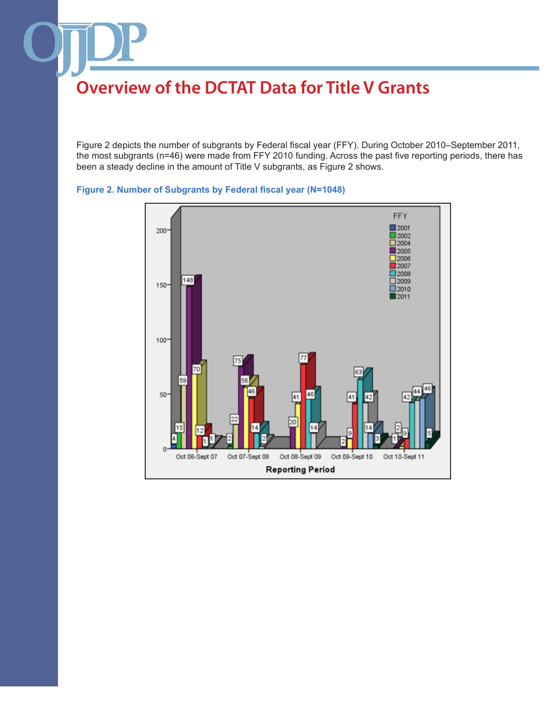Figure 2 depicts the number of subgrants by Federal fiscal year (FFY). During October 2010–September 2011, the most subgrants (n=46) were made from FFY 2010 funding. Across the past five reporting periods, there has been a steady decline in the amount of Title V subgrants, as Figure 2 shows.



## **Figure 2. Number of Subgrants by Federal fiscal year (N=1048)**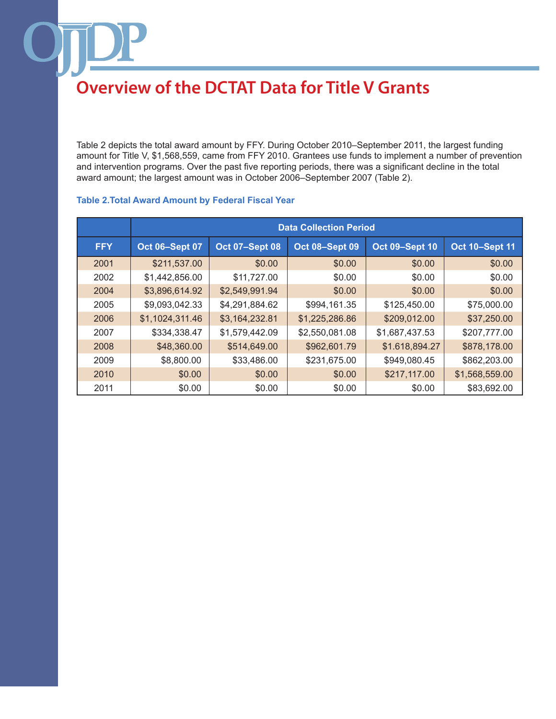Table 2 depicts the total award amount by FFY. During October 2010–September 2011, the largest funding amount for Title V, \$1,568,559, came from FFY 2010. Grantees use funds to implement a number of prevention and intervention programs. Over the past five reporting periods, there was a significant decline in the total award amount; the largest amount was in October 2006–September 2007 (Table 2).

|            | <b>Data Collection Period</b> |                       |                       |                       |                       |
|------------|-------------------------------|-----------------------|-----------------------|-----------------------|-----------------------|
| <b>FFY</b> | <b>Oct 06-Sept 07</b>         | <b>Oct 07-Sept 08</b> | <b>Oct 08-Sept 09</b> | <b>Oct 09-Sept 10</b> | <b>Oct 10-Sept 11</b> |
| 2001       | \$211,537.00                  | \$0.00                | \$0.00                | \$0.00                | \$0.00                |
| 2002       | \$1,442,856.00                | \$11,727.00           | \$0.00                | \$0.00                | \$0.00                |
| 2004       | \$3,896,614.92                | \$2,549,991.94        | \$0.00                | \$0.00                | \$0.00                |
| 2005       | \$9,093,042.33                | \$4,291,884.62        | \$994,161.35          | \$125,450.00          | \$75,000.00           |
| 2006       | \$1,1024,311.46               | \$3,164,232.81        | \$1,225,286.86        | \$209,012.00          | \$37,250.00           |
| 2007       | \$334,338.47                  | \$1,579,442.09        | \$2,550,081.08        | \$1,687,437.53        | \$207,777.00          |
| 2008       | \$48,360.00                   | \$514,649.00          | \$962,601.79          | \$1.618,894.27        | \$878,178.00          |
| 2009       | \$8,800.00                    | \$33,486.00           | \$231,675.00          | \$949,080.45          | \$862,203.00          |
| 2010       | \$0.00                        | \$0.00                | \$0.00                | \$217,117.00          | \$1,568,559.00        |
| 2011       | \$0.00                        | \$0.00                | \$0.00                | \$0.00                | \$83,692.00           |

## **Table 2.Total Award Amount by Federal Fiscal Year**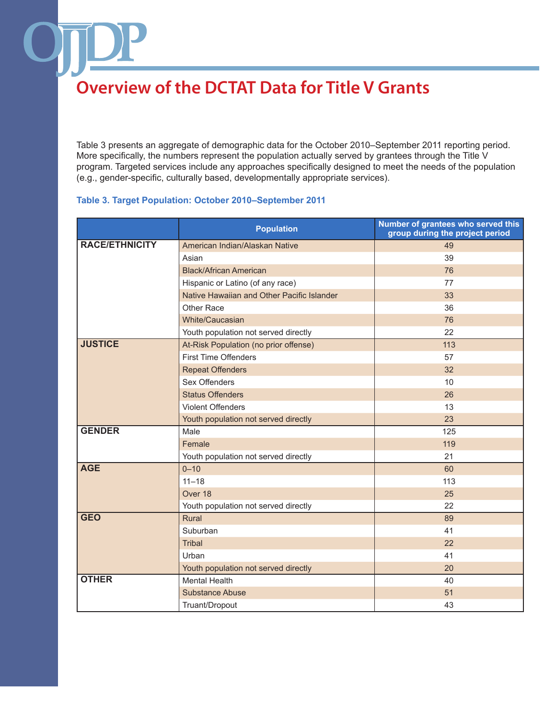Table 3 presents an aggregate of demographic data for the October 2010–September 2011 reporting period. More specifically, the numbers represent the population actually served by grantees through the Title V program. Targeted services include any approaches specifically designed to meet the needs of the population (e.g., gender-specific, culturally based, developmentally appropriate services).

### **Table 3. Target Population: October 2010–September 2011**

|                       | <b>Population</b>                          | Number of grantees who served this<br>group during the project period |
|-----------------------|--------------------------------------------|-----------------------------------------------------------------------|
| <b>RACE/ETHNICITY</b> | American Indian/Alaskan Native             | 49                                                                    |
|                       | Asian                                      | 39                                                                    |
|                       | <b>Black/African American</b>              | 76                                                                    |
|                       | Hispanic or Latino (of any race)           | 77                                                                    |
|                       | Native Hawaiian and Other Pacific Islander | 33                                                                    |
|                       | Other Race                                 | 36                                                                    |
|                       | White/Caucasian                            | 76                                                                    |
|                       | Youth population not served directly       | 22                                                                    |
| <b>JUSTICE</b>        | At-Risk Population (no prior offense)      | 113                                                                   |
|                       | <b>First Time Offenders</b>                | 57                                                                    |
|                       | <b>Repeat Offenders</b>                    | 32                                                                    |
|                       | Sex Offenders                              | 10                                                                    |
|                       | <b>Status Offenders</b>                    | 26                                                                    |
|                       | Violent Offenders                          | 13                                                                    |
|                       | Youth population not served directly       | 23                                                                    |
| <b>GENDER</b>         | Male                                       | 125                                                                   |
|                       | Female                                     | 119                                                                   |
|                       | Youth population not served directly       | 21                                                                    |
| <b>AGE</b>            | $0 - 10$                                   | 60                                                                    |
|                       | $11 - 18$                                  | 113                                                                   |
|                       | Over 18                                    | 25                                                                    |
|                       | Youth population not served directly       | 22                                                                    |
| <b>GEO</b>            | Rural                                      | 89                                                                    |
|                       | Suburban                                   | 41                                                                    |
|                       | <b>Tribal</b>                              | 22                                                                    |
|                       | Urban                                      | 41                                                                    |
|                       | Youth population not served directly       | 20                                                                    |
| <b>OTHER</b>          | <b>Mental Health</b>                       | 40                                                                    |
|                       | <b>Substance Abuse</b>                     | 51                                                                    |
|                       | Truant/Dropout                             | 43                                                                    |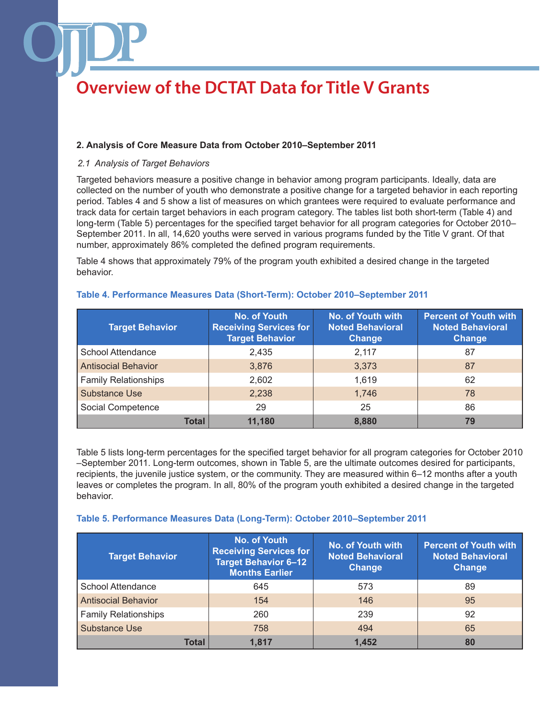## **2. Analysis of Core Measure Data from October 2010–September 2011**

### *2.1 Analysis of Target Behaviors*

Targeted behaviors measure a positive change in behavior among program participants. Ideally, data are collected on the number of youth who demonstrate a positive change for a targeted behavior in each reporting period. Tables 4 and 5 show a list of measures on which grantees were required to evaluate performance and track data for certain target behaviors in each program category. The tables list both short-term (Table 4) and long-term (Table 5) percentages for the specified target behavior for all program categories for October 2010– September 2011. In all, 14,620 youths were served in various programs funded by the Title V grant. Of that number, approximately 86% completed the defined program requirements.

Table 4 shows that approximately 79% of the program youth exhibited a desired change in the targeted behavior.

| <b>Target Behavior</b>      | <b>No. of Youth</b><br><b>Receiving Services for</b><br><b>Target Behavior</b> | <b>No. of Youth with</b><br><b>Noted Behavioral</b><br><b>Change</b> | <b>Percent of Youth with</b><br><b>Noted Behavioral</b><br><b>Change</b> |
|-----------------------------|--------------------------------------------------------------------------------|----------------------------------------------------------------------|--------------------------------------------------------------------------|
| School Attendance           | 2,435                                                                          | 2,117                                                                | 87                                                                       |
| <b>Antisocial Behavior</b>  | 3,876                                                                          | 3,373                                                                | 87                                                                       |
| <b>Family Relationships</b> | 2,602                                                                          | 1,619                                                                | 62                                                                       |
| Substance Use               | 2,238                                                                          | 1,746                                                                | 78                                                                       |
| Social Competence           | 29                                                                             | 25                                                                   | 86                                                                       |
| Total                       | 11.180                                                                         | 8,880                                                                | 79                                                                       |

#### **Table 4. Performance Measures Data (Short-Term): October 2010–September 2011**

Table 5 lists long-term percentages for the specified target behavior for all program categories for October 2010 –September 2011. Long-term outcomes, shown in Table 5, are the ultimate outcomes desired for participants, recipients, the juvenile justice system, or the community. They are measured within 6–12 months after a youth leaves or completes the program. In all, 80% of the program youth exhibited a desired change in the targeted behavior.

#### **Table 5. Performance Measures Data (Long-Term): October 2010–September 2011**

| <b>Target Behavior</b>     | No. of Youth<br><b>Receiving Services for</b><br><b>Target Behavior 6-12</b><br><b>Months Earlier</b> | <b>No. of Youth with</b><br><b>Noted Behavioral</b><br><b>Change</b> | <b>Percent of Youth with</b><br><b>Noted Behavioral</b><br>Change |
|----------------------------|-------------------------------------------------------------------------------------------------------|----------------------------------------------------------------------|-------------------------------------------------------------------|
| School Attendance          | 645                                                                                                   | 573                                                                  | 89                                                                |
| <b>Antisocial Behavior</b> | 154                                                                                                   | 146                                                                  | 95                                                                |
| Family Relationships       | 260                                                                                                   | 239                                                                  | 92                                                                |
| Substance Use              | 758                                                                                                   | 494                                                                  | 65                                                                |
| Total                      | 1.817                                                                                                 | 1,452                                                                | 80                                                                |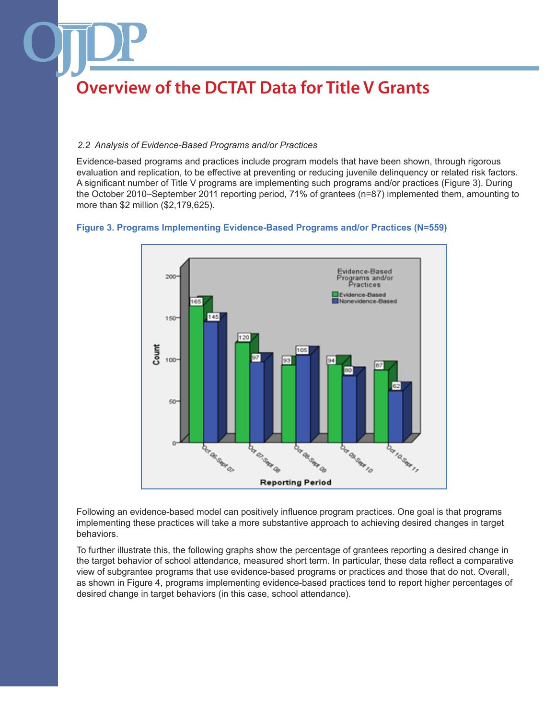### *2.2 Analysis of Evidence-Based Programs and/or Practices*

Evidence-based programs and practices include program models that have been shown, through rigorous evaluation and replication, to be effective at preventing or reducing juvenile delinquency or related risk factors. A significant number of Title V programs are implementing such programs and/or practices (Figure 3). During the October 2010–September 2011 reporting period, 71% of grantees (n=87) implemented them, amounting to more than \$2 million (\$2,179,625).

### **Figure 3. Programs Implementing Evidence-Based Programs and/or Practices (N=559)**



Following an evidence-based model can positively influence program practices. One goal is that programs implementing these practices will take a more substantive approach to achieving desired changes in target behaviors.

To further illustrate this, the following graphs show the percentage of grantees reporting a desired change in the target behavior of school attendance, measured short term. In particular, these data reflect a comparative view of subgrantee programs that use evidence-based programs or practices and those that do not. Overall, as shown in Figure 4, programs implementing evidence-based practices tend to report higher percentages of desired change in target behaviors (in this case, school attendance).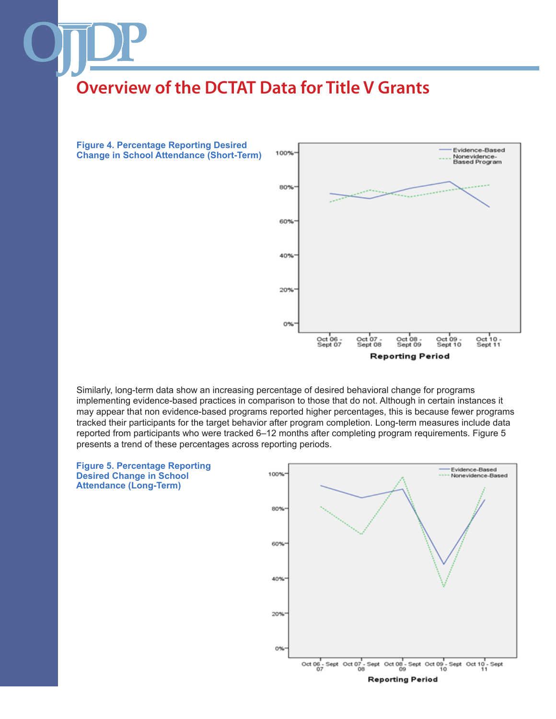

Similarly, long-term data show an increasing percentage of desired behavioral change for programs implementing evidence-based practices in comparison to those that do not. Although in certain instances it may appear that non evidence-based programs reported higher percentages, this is because fewer programs tracked their participants for the target behavior after program completion. Long-term measures include data reported from participants who were tracked 6–12 months after completing program requirements. Figure 5 presents a trend of these percentages across reporting periods.

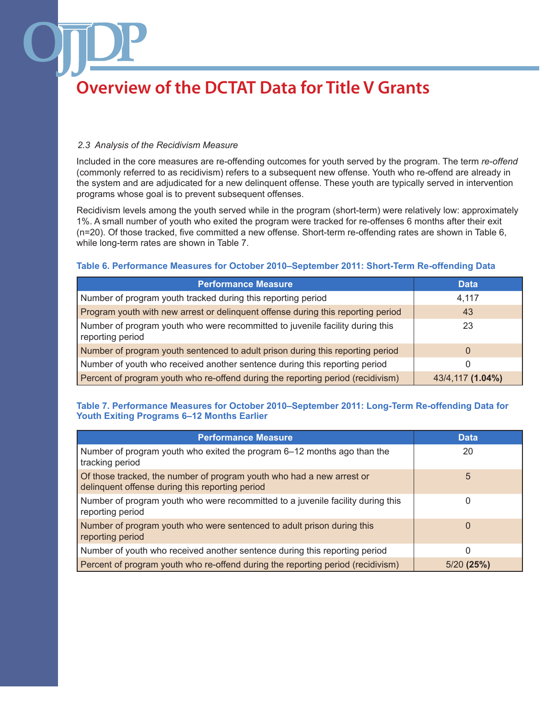### *2.3 Analysis of the Recidivism Measure*

Included in the core measures are re-offending outcomes for youth served by the program. The term *re-offend* (commonly referred to as recidivism) refers to a subsequent new offense. Youth who re-offend are already in the system and are adjudicated for a new delinquent offense. These youth are typically served in intervention programs whose goal is to prevent subsequent offenses.

Recidivism levels among the youth served while in the program (short-term) were relatively low: approximately 1%. A small number of youth who exited the program were tracked for re-offenses 6 months after their exit (n=20). Of those tracked, five committed a new offense. Short-term re-offending rates are shown in Table 6, while long-term rates are shown in Table 7.

#### **Table 6. Performance Measures for October 2010–September 2011: Short-Term Re-offending Data**

| <b>Performance Measure</b>                                                                        | <b>Data</b>      |
|---------------------------------------------------------------------------------------------------|------------------|
| Number of program youth tracked during this reporting period                                      | 4,117            |
| Program youth with new arrest or delinquent offense during this reporting period                  | 43               |
| Number of program youth who were recommitted to juvenile facility during this<br>reporting period | 23               |
| Number of program youth sentenced to adult prison during this reporting period                    |                  |
| Number of youth who received another sentence during this reporting period                        |                  |
| Percent of program youth who re-offend during the reporting period (recidivism)                   | 43/4,117 (1.04%) |

## **Table 7. Performance Measures for October 2010–September 2011: Long-Term Re-offending Data for Youth Exiting Programs 6–12 Months Earlier**

| <b>Performance Measure</b>                                                                                               | <b>Data</b>  |
|--------------------------------------------------------------------------------------------------------------------------|--------------|
| Number of program youth who exited the program 6–12 months ago than the<br>tracking period                               | 20           |
| Of those tracked, the number of program youth who had a new arrest or<br>delinquent offense during this reporting period | 5            |
| Number of program youth who were recommitted to a juvenile facility during this<br>reporting period                      | 0            |
| Number of program youth who were sentenced to adult prison during this<br>reporting period                               | 0            |
| Number of youth who received another sentence during this reporting period                                               | ი            |
| Percent of program youth who re-offend during the reporting period (recidivism)                                          | $5/20$ (25%) |